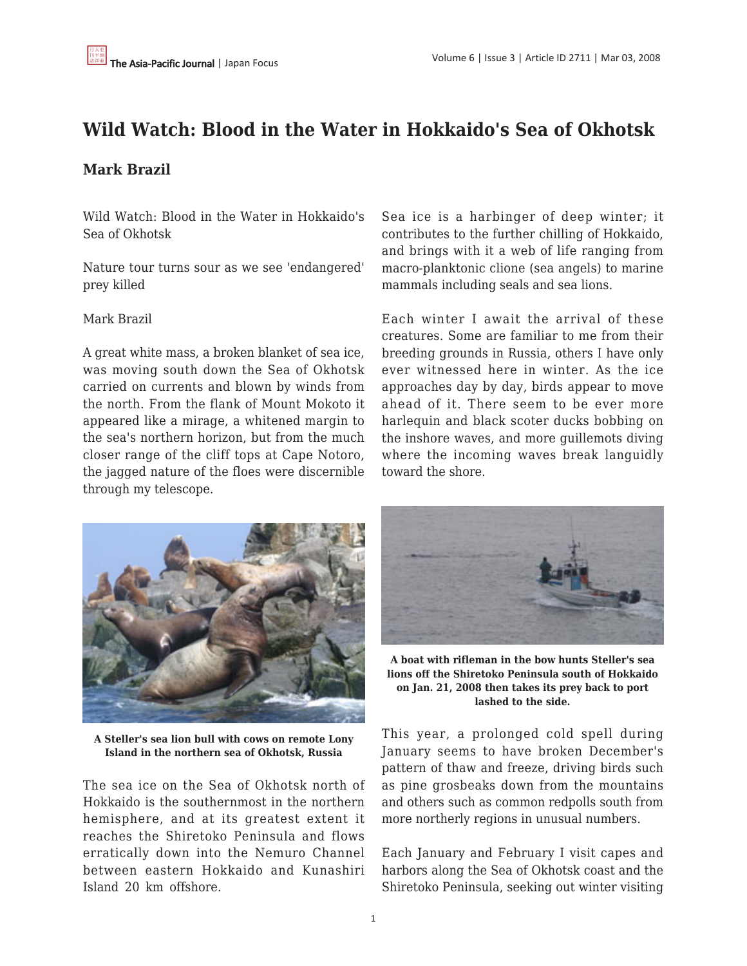## **Wild Watch: Blood in the Water in Hokkaido's Sea of Okhotsk**

## **Mark Brazil**

Wild Watch: Blood in the Water in Hokkaido's Sea of Okhotsk

Nature tour turns sour as we see 'endangered' prey killed

## Mark Brazil

A great white mass, a broken blanket of sea ice, was moving south down the Sea of Okhotsk carried on currents and blown by winds from the north. From the flank of Mount Mokoto it appeared like a mirage, a whitened margin to the sea's northern horizon, but from the much closer range of the cliff tops at Cape Notoro, the jagged nature of the floes were discernible through my telescope.



**A Steller's sea lion bull with cows on remote Lony Island in the northern sea of Okhotsk, Russia**

The sea ice on the Sea of Okhotsk north of Hokkaido is the southernmost in the northern hemisphere, and at its greatest extent it reaches the Shiretoko Peninsula and flows erratically down into the Nemuro Channel between eastern Hokkaido and Kunashiri Island 20 km offshore.

Sea ice is a harbinger of deep winter; it contributes to the further chilling of Hokkaido, and brings with it a web of life ranging from macro-planktonic clione (sea angels) to marine mammals including seals and sea lions.

Each winter I await the arrival of these creatures. Some are familiar to me from their breeding grounds in Russia, others I have only ever witnessed here in winter. As the ice approaches day by day, birds appear to move ahead of it. There seem to be ever more harlequin and black scoter ducks bobbing on the inshore waves, and more guillemots diving where the incoming waves break languidly toward the shore.



**A boat with rifleman in the bow hunts Steller's sea lions off the Shiretoko Peninsula south of Hokkaido on Jan. 21, 2008 then takes its prey back to port lashed to the side.**

This year, a prolonged cold spell during January seems to have broken December's pattern of thaw and freeze, driving birds such as pine grosbeaks down from the mountains and others such as common redpolls south from more northerly regions in unusual numbers.

Each January and February I visit capes and harbors along the Sea of Okhotsk coast and the Shiretoko Peninsula, seeking out winter visiting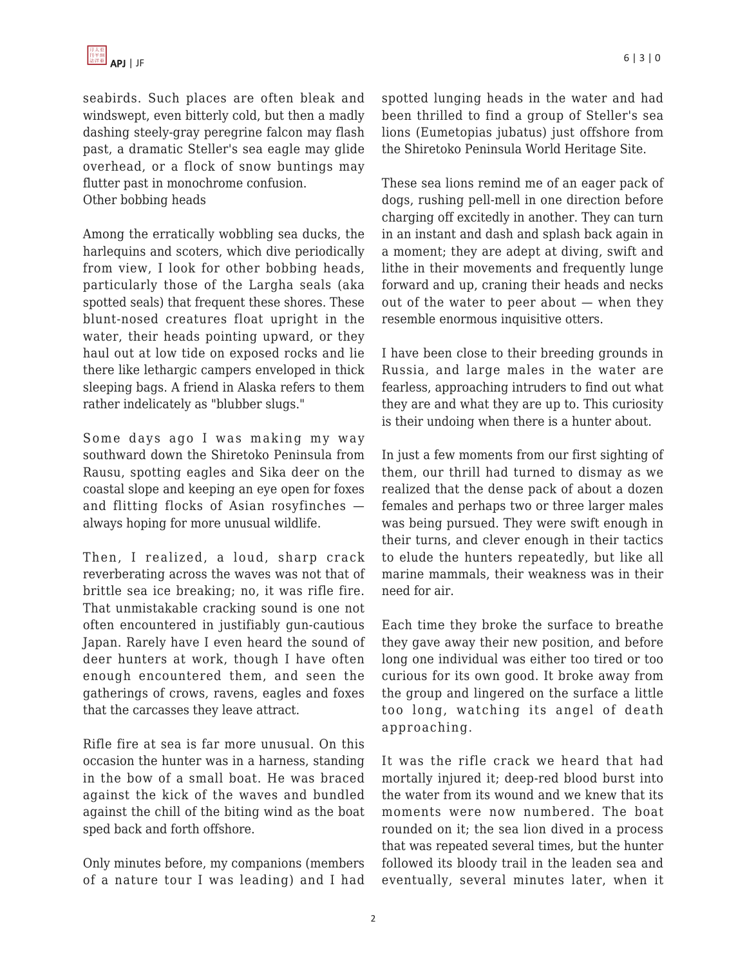

seabirds. Such places are often bleak and windswept, even bitterly cold, but then a madly dashing steely-gray peregrine falcon may flash past, a dramatic Steller's sea eagle may glide overhead, or a flock of snow buntings may flutter past in monochrome confusion. Other bobbing heads

Among the erratically wobbling sea ducks, the harlequins and scoters, which dive periodically from view, I look for other bobbing heads, particularly those of the Largha seals (aka spotted seals) that frequent these shores. These blunt-nosed creatures float upright in the water, their heads pointing upward, or they haul out at low tide on exposed rocks and lie there like lethargic campers enveloped in thick sleeping bags. A friend in Alaska refers to them rather indelicately as "blubber slugs."

Some days ago I was making my way southward down the Shiretoko Peninsula from Rausu, spotting eagles and Sika deer on the coastal slope and keeping an eye open for foxes and flitting flocks of Asian rosyfinches always hoping for more unusual wildlife.

Then, I realized, a loud, sharp crack reverberating across the waves was not that of brittle sea ice breaking; no, it was rifle fire. That unmistakable cracking sound is one not often encountered in justifiably gun-cautious Japan. Rarely have I even heard the sound of deer hunters at work, though I have often enough encountered them, and seen the gatherings of crows, ravens, eagles and foxes that the carcasses they leave attract.

Rifle fire at sea is far more unusual. On this occasion the hunter was in a harness, standing in the bow of a small boat. He was braced against the kick of the waves and bundled against the chill of the biting wind as the boat sped back and forth offshore.

Only minutes before, my companions (members of a nature tour I was leading) and I had spotted lunging heads in the water and had been thrilled to find a group of Steller's sea lions (Eumetopias jubatus) just offshore from the Shiretoko Peninsula World Heritage Site.

These sea lions remind me of an eager pack of dogs, rushing pell-mell in one direction before charging off excitedly in another. They can turn in an instant and dash and splash back again in a moment; they are adept at diving, swift and lithe in their movements and frequently lunge forward and up, craning their heads and necks out of the water to peer about — when they resemble enormous inquisitive otters.

I have been close to their breeding grounds in Russia, and large males in the water are fearless, approaching intruders to find out what they are and what they are up to. This curiosity is their undoing when there is a hunter about.

In just a few moments from our first sighting of them, our thrill had turned to dismay as we realized that the dense pack of about a dozen females and perhaps two or three larger males was being pursued. They were swift enough in their turns, and clever enough in their tactics to elude the hunters repeatedly, but like all marine mammals, their weakness was in their need for air.

Each time they broke the surface to breathe they gave away their new position, and before long one individual was either too tired or too curious for its own good. It broke away from the group and lingered on the surface a little too long, watching its angel of death approaching.

It was the rifle crack we heard that had mortally injured it; deep-red blood burst into the water from its wound and we knew that its moments were now numbered. The boat rounded on it; the sea lion dived in a process that was repeated several times, but the hunter followed its bloody trail in the leaden sea and eventually, several minutes later, when it